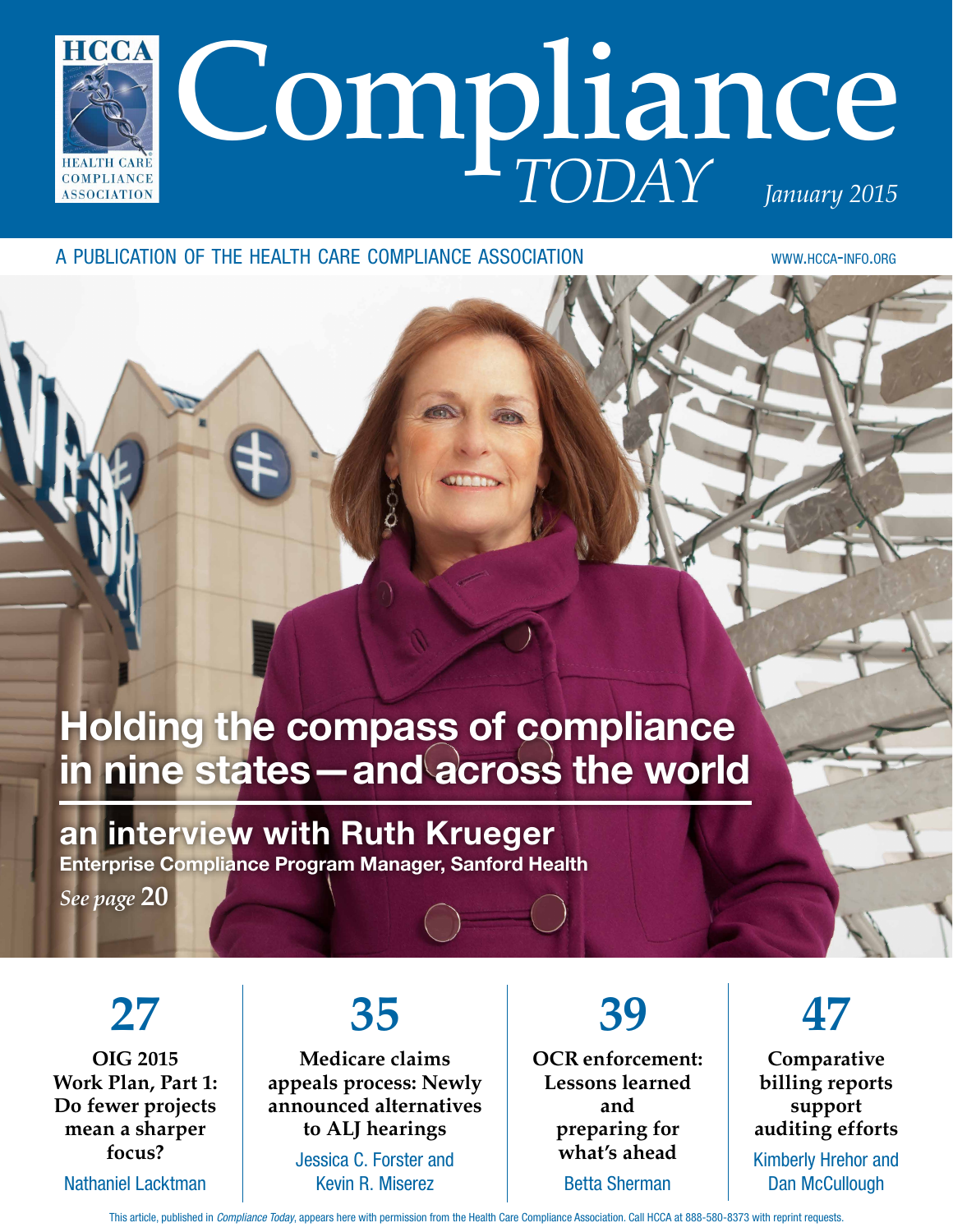

a publication of the health care compliance association www.hcca-info.org

## Holding the compass of compliance in nine states—and across the world

## an interview with Ruth Krueger

Enterprise Compliance Program Manager, Sanford Health

*See page* **20**

**27 OIG 2015 Work Plan, Part 1: Do fewer projects mean a sharper focus?** Nathaniel Lacktman

## **35**

**Medicare claims appeals process: Newly announced alternatives to ALJ hearings** Jessica C. Forster and

Kevin R. Miserez

 **39 OCR enforcement: Lessons learned and preparing for what's ahead** Betta Sherman

**47**

**Comparative billing reports support auditing efforts** Kimberly Hrehor and Dan McCullough

This article, published in *Compliance Today*, appears here with permission from the Health Care Compliance Association. Call HCCA at 888-580-8373 with reprint requests.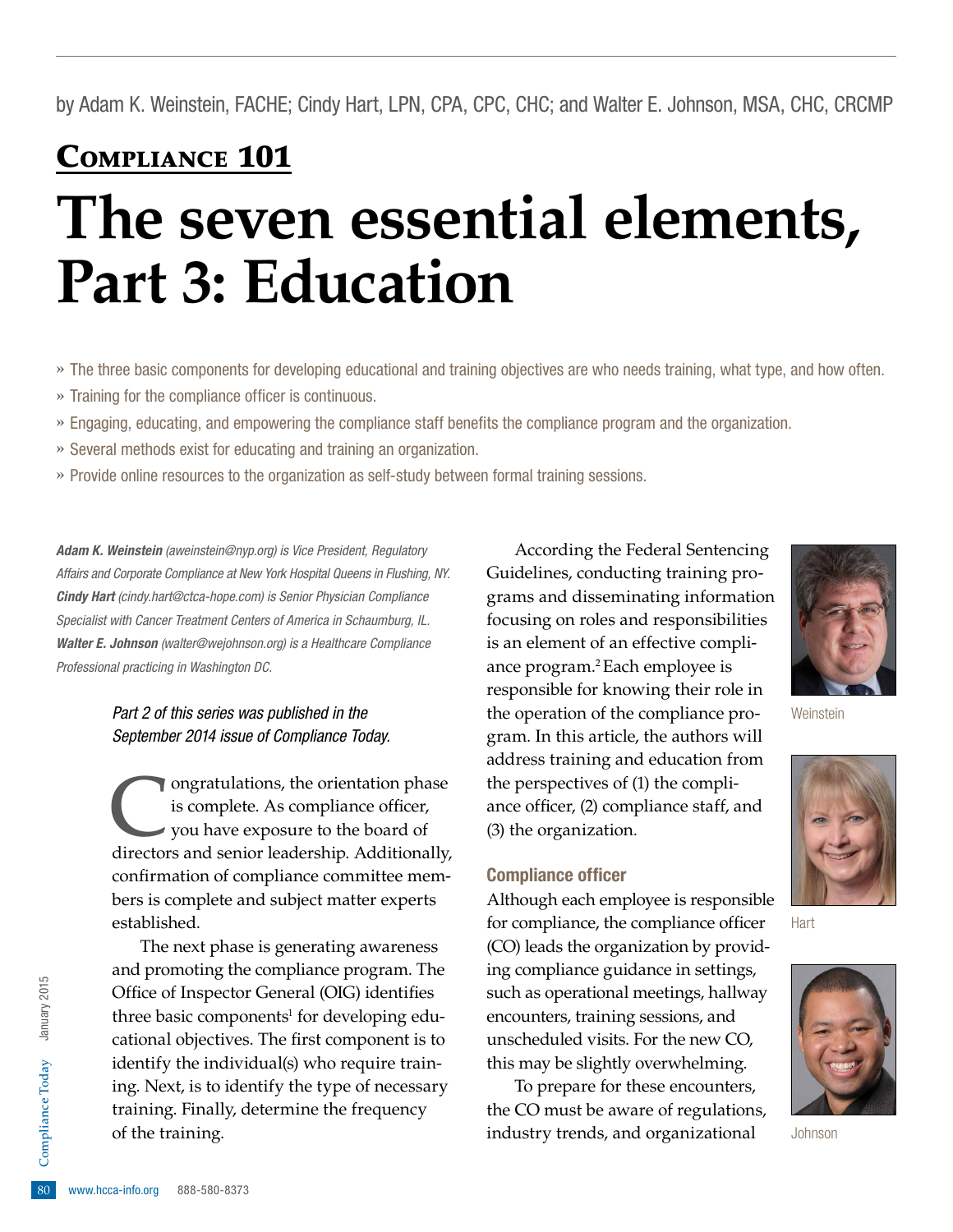## Compliance 101

# **The seven essential elements, Part 3: Education**

- » The three basic components for developing educational and training objectives are who needs training, what type, and how often.
- » Training for the compliance officer is continuous.
- » Engaging, educating, and empowering the compliance staff benefits the compliance program and the organization.
- » Several methods exist for educating and training an organization.
- » Provide online resources to the organization as self-study between formal training sessions.

*Adam K. Weinstein [\(aweinstein@nyp.org](mailto:aweinstein@nyp.org)) is Vice President, Regulatory Affairs and Corporate Compliance at New York Hospital Queens in Flushing, NY. Cindy Hart ([cindy.hart@ctca-hope.com](mailto:cindy.hart@ctca-hope.com)) is Senior Physician Compliance Specialist with Cancer Treatment Centers of America in Schaumburg, IL. Walter E. Johnson [\(walter@wejohnson.org](mailto:walter@wejohnson.org)) is a Healthcare Compliance Professional practicing in Washington DC.*

> *Part 2 of this series was published in the September 2014 issue of Compliance Today.*

Congratulations, the orientation phase<br>is complete. As compliance officer,<br>you have exposure to the board of<br>directors and senior leadership. Additionally is complete. As compliance officer, you have exposure to the board of directors and senior leadership. Additionally, confirmation of compliance committee members is complete and subject matter experts established.

training. Finally, determine the frequency<br>
of the training.<br> **80** www.hcca-info.org 888-580-8373 The next phase is generating awareness and promoting the compliance program. The Office of Inspector General (OIG) identifies three basic components<sup>1</sup> for developing educational objectives. The first component is to identify the individual(s) who require training. Next, is to identify the type of necessary of the training.

According the Federal Sentencing Guidelines, conducting training programs and disseminating information focusing on roles and responsibilities is an element of an effective compliance program.2 Each employee is responsible for knowing their role in the operation of the compliance program. In this article, the authors will address training and education from the perspectives of (1) the compliance officer, (2) compliance staff, and (3) the organization.

#### Compliance officer

Although each employee is responsible for compliance, the compliance officer (CO) leads the organization by providing compliance guidance in settings, such as operational meetings, hallway encounters, training sessions, and unscheduled visits. For the new CO, this may be slightly overwhelming.

To prepare for these encounters, the CO must be aware of regulations, industry trends, and organizational



**Weinstein** 



Hart



Johnson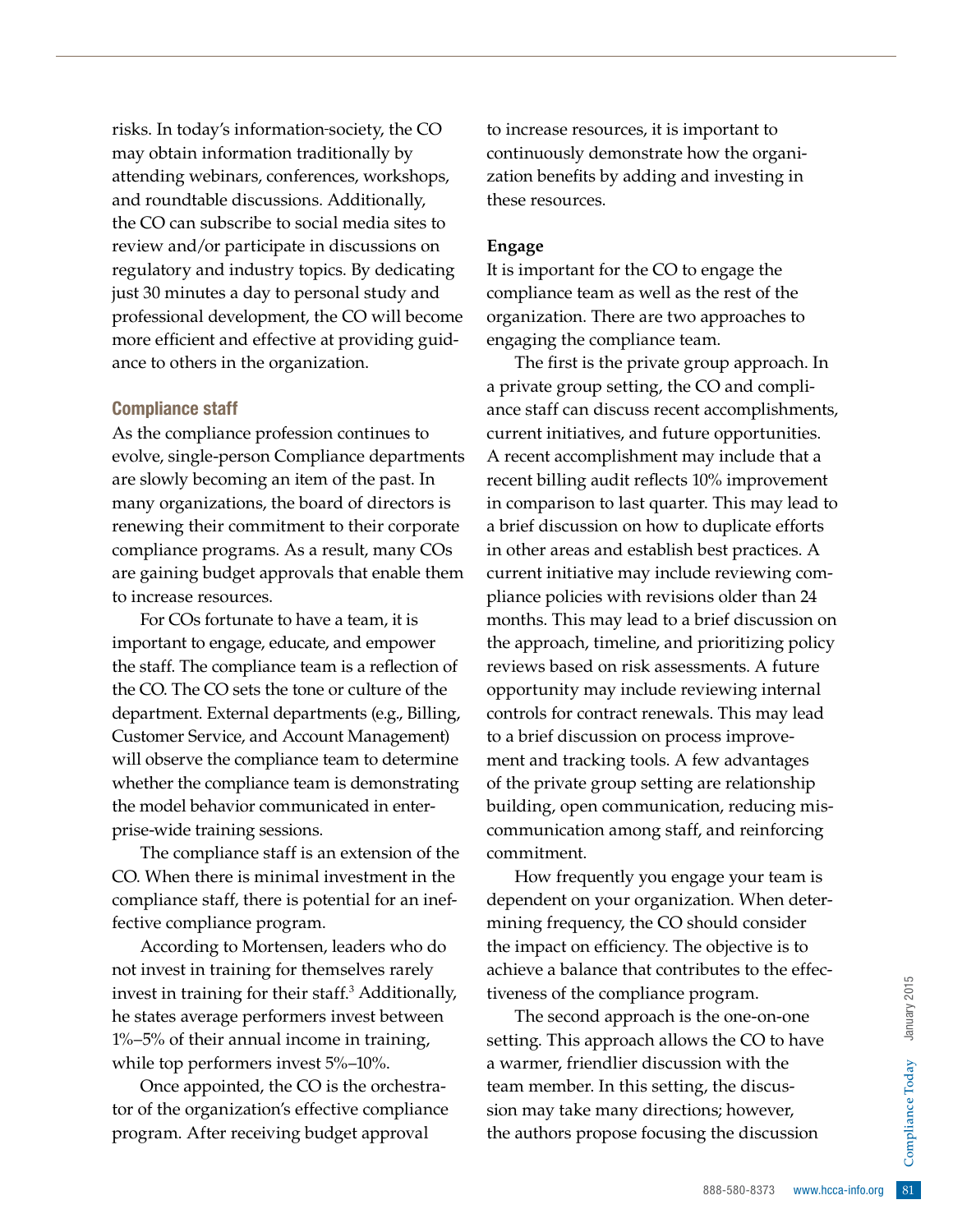risks. In today's information society, the CO may obtain information traditionally by attending webinars, conferences, workshops, and roundtable discussions. Additionally, the CO can subscribe to social media sites to review and/or participate in discussions on regulatory and industry topics. By dedicating just 30 minutes a day to personal study and professional development, the CO will become more efficient and effective at providing guidance to others in the organization.

#### Compliance staff

As the compliance profession continues to evolve, single-person Compliance departments are slowly becoming an item of the past. In many organizations, the board of directors is renewing their commitment to their corporate compliance programs. As a result, many COs are gaining budget approvals that enable them to increase resources.

For COs fortunate to have a team, it is important to engage, educate, and empower the staff. The compliance team is a reflection of the CO. The CO sets the tone or culture of the department. External departments (e.g., Billing, Customer Service, and Account Management) will observe the compliance team to determine whether the compliance team is demonstrating the model behavior communicated in enterprise-wide training sessions.

The compliance staff is an extension of the CO. When there is minimal investment in the compliance staff, there is potential for an ineffective compliance program.

According to Mortensen, leaders who do not invest in training for themselves rarely invest in training for their staff.3 Additionally, he states average performers invest between 1%–5% of their annual income in training, while top performers invest 5%–10%.

Once appointed, the CO is the orchestrator of the organization's effective compliance program. After receiving budget approval

to increase resources, it is important to continuously demonstrate how the organization benefits by adding and investing in these resources.

#### **Engage**

It is important for the CO to engage the compliance team as well as the rest of the organization. There are two approaches to engaging the compliance team.

The first is the private group approach. In a private group setting, the CO and compliance staff can discuss recent accomplishments, current initiatives, and future opportunities. A recent accomplishment may include that a recent billing audit reflects 10% improvement in comparison to last quarter. This may lead to a brief discussion on how to duplicate efforts in other areas and establish best practices. A current initiative may include reviewing compliance policies with revisions older than 24 months. This may lead to a brief discussion on the approach, timeline, and prioritizing policy reviews based on risk assessments. A future opportunity may include reviewing internal controls for contract renewals. This may lead to a brief discussion on process improvement and tracking tools. A few advantages of the private group setting are relationship building, open communication, reducing miscommunication among staff, and reinforcing commitment.

How frequently you engage your team is dependent on your organization. When determining frequency, the CO should consider the impact on efficiency. The objective is to achieve a balance that contributes to the effectiveness of the compliance program.

Program.<br>
The one-on-one<br>
s the CO to have<br>
s the CO to have<br>
tion with the<br>
the discussion<br>
s the discussion<br>
g the discussion<br>
888-580-8373 www.hcca-info.org 81 The second approach is the one-on-one setting. This approach allows the CO to have a warmer, friendlier discussion with the team member. In this setting, the discussion may take many directions; however, the authors propose focusing the discussion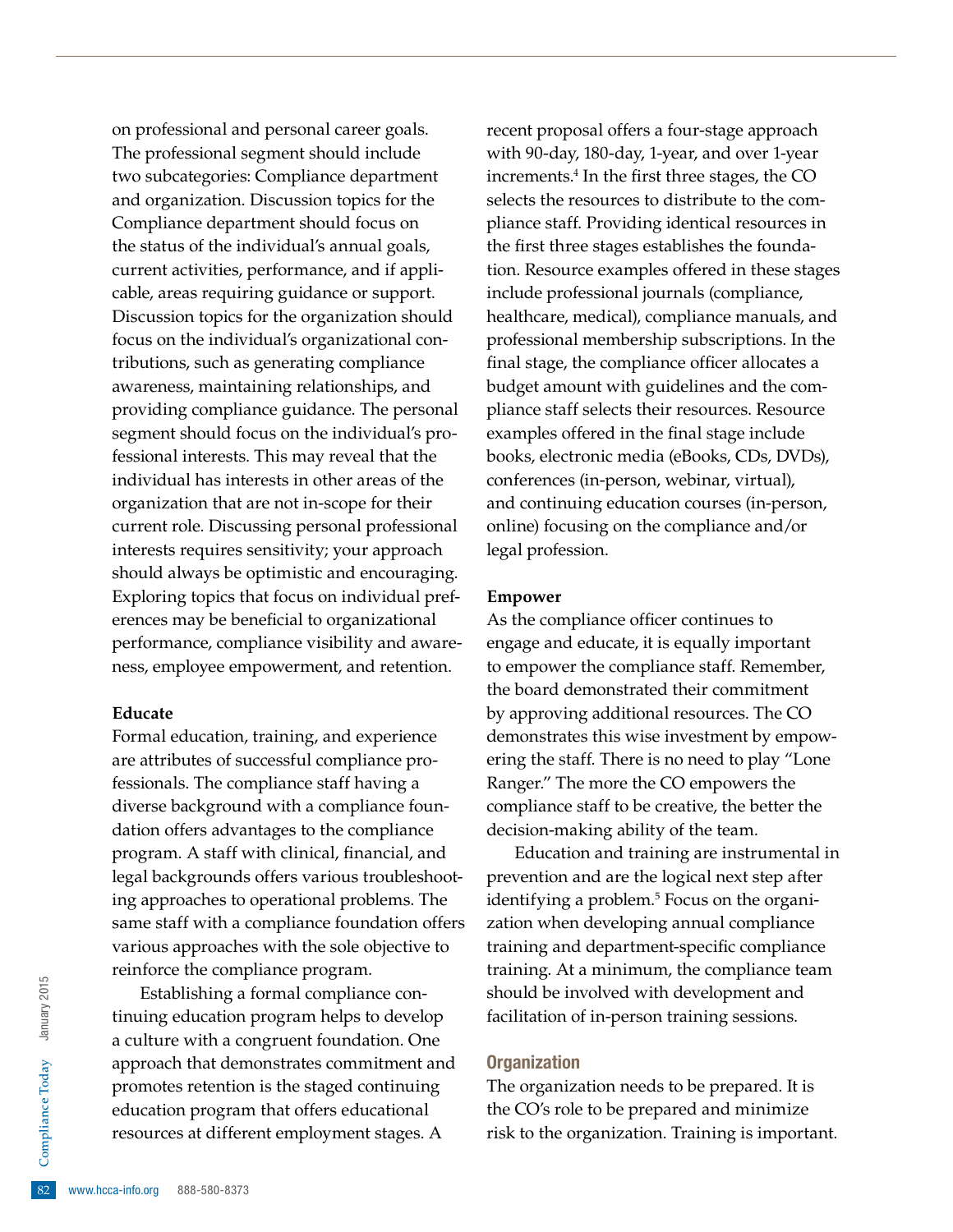on professional and personal career goals. The professional segment should include two subcategories: Compliance department and organization. Discussion topics for the Compliance department should focus on the status of the individual's annual goals, current activities, performance, and if applicable, areas requiring guidance or support. Discussion topics for the organization should focus on the individual's organizational contributions, such as generating compliance awareness, maintaining relationships, and providing compliance guidance. The personal segment should focus on the individual's professional interests. This may reveal that the individual has interests in other areas of the organization that are not in-scope for their current role. Discussing personal professional interests requires sensitivity; your approach should always be optimistic and encouraging. Exploring topics that focus on individual preferences may be beneficial to organizational performance, compliance visibility and awareness, employee empowerment, and retention.

#### **Educate**

Formal education, training, and experience are attributes of successful compliance professionals. The compliance staff having a diverse background with a compliance foundation offers advantages to the compliance program. A staff with clinical, financial, and legal backgrounds offers various troubleshooting approaches to operational problems. The same staff with a compliance foundation offers various approaches with the sole objective to reinforce the compliance program.

education program<br>resources at differ<br>82 www.hcca-info.org 888-580-8373 Establishing a formal compliance continuing education program helps to develop a culture with a congruent foundation. One approach that demonstrates commitment and promotes retention is the staged continuing education program that offers educational resources at different employment stages. A

recent proposal offers a four-stage approach with 90-day, 180-day, 1-year, and over 1-year increments.4 In the first three stages, the CO selects the resources to distribute to the compliance staff. Providing identical resources in the first three stages establishes the foundation. Resource examples offered in these stages include professional journals (compliance, healthcare, medical), compliance manuals, and professional membership subscriptions. In the final stage, the compliance officer allocates a budget amount with guidelines and the compliance staff selects their resources. Resource examples offered in the final stage include books, electronic media (eBooks, CDs, DVDs), conferences (in-person, webinar, virtual), and continuing education courses (in-person, online) focusing on the compliance and/or legal profession.

#### **Empower**

As the compliance officer continues to engage and educate, it is equally important to empower the compliance staff. Remember, the board demonstrated their commitment by approving additional resources. The CO demonstrates this wise investment by empowering the staff. There is no need to play "Lone Ranger." The more the CO empowers the compliance staff to be creative, the better the decision-making ability of the team.

Education and training are instrumental in prevention and are the logical next step after identifying a problem.<sup>5</sup> Focus on the organization when developing annual compliance training and department-specific compliance training. At a minimum, the compliance team should be involved with development and facilitation of in-person training sessions.

#### **Organization**

The organization needs to be prepared. It is the CO's role to be prepared and minimize risk to the organization. Training is important.